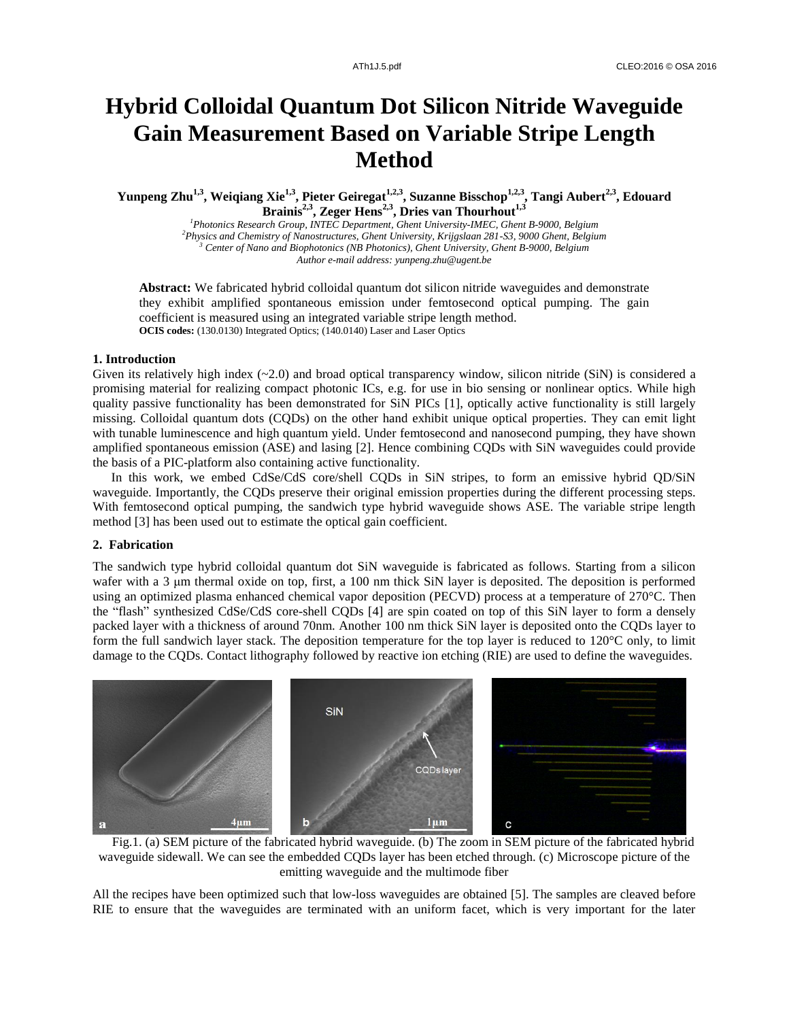# **Hybrid Colloidal Quantum Dot Silicon Nitride Waveguide Gain Measurement Based on Variable Stripe Length Method**

**Yunpeng Zhu1,3, Weiqiang Xie1,3, Pieter Geiregat1,2,3 , Suzanne Bisschop1,2,3 , Tangi Aubert2,3, Edouard Brainis2,3, Zeger Hens2,3, Dries van Thourhout1,3**

*Photonics Research Group, INTEC Department, Ghent University-IMEC, Ghent B-9000, Belgium Physics and Chemistry of Nanostructures, Ghent University, Krijgslaan 281-S3, 9000 Ghent, Belgium Center of Nano and Biophotonics (NB Photonics), Ghent University, Ghent B-9000, Belgium Author e-mail address: yunpeng.zhu@ugent.be*

**Abstract:** We fabricated hybrid colloidal quantum dot silicon nitride waveguides and demonstrate they exhibit amplified spontaneous emission under femtosecond optical pumping. The gain coefficient is measured using an integrated variable stripe length method. **OCIS codes:** (130.0130) Integrated Optics; (140.0140) Laser and Laser Optics

# **1. Introduction**

Given its relatively high index  $(\sim 2.0)$  and broad optical transparency window, silicon nitride (SiN) is considered a promising material for realizing compact photonic ICs, e.g. for use in bio sensing or nonlinear optics. While high quality passive functionality has been demonstrated for SiN PICs [1], optically active functionality is still largely missing. Colloidal quantum dots (CQDs) on the other hand exhibit unique optical properties. They can emit light with tunable luminescence and high quantum yield. Under femtosecond and nanosecond pumping, they have shown amplified spontaneous emission (ASE) and lasing [2]. Hence combining CQDs with SiN waveguides could provide the basis of a PIC-platform also containing active functionality.

In this work, we embed CdSe/CdS core/shell CQDs in SiN stripes, to form an emissive hybrid QD/SiN waveguide. Importantly, the CQDs preserve their original emission properties during the different processing steps. With femtosecond optical pumping, the sandwich type hybrid waveguide shows ASE. The variable stripe length method [3] has been used out to estimate the optical gain coefficient.

# **2. Fabrication**

The sandwich type hybrid colloidal quantum dot SiN waveguide is fabricated as follows. Starting from a silicon wafer with a 3 μm thermal oxide on top, first, a 100 nm thick SiN layer is deposited. The deposition is performed using an optimized plasma enhanced chemical vapor deposition (PECVD) process at a temperature of 270 °C. Then the "flash" synthesized CdSe/CdS core-shell CQDs [4] are spin coated on top of this SiN layer to form a densely packed layer with a thickness of around 70nm. Another 100 nm thick SiN layer is deposited onto the CQDs layer to form the full sandwich layer stack. The deposition temperature for the top layer is reduced to  $120 \, \text{°C}$  only, to limit damage to the CQDs. Contact lithography followed by reactive ion etching (RIE) are used to define the waveguides.



Fig.1. (a) SEM picture of the fabricated hybrid waveguide. (b) The zoom in SEM picture of the fabricated hybrid waveguide sidewall. We can see the embedded CQDs layer has been etched through. (c) Microscope picture of the emitting waveguide and the multimode fiber

All the recipes have been optimized such that low-loss waveguides are obtained [5]. The samples are cleaved before RIE to ensure that the waveguides are terminated with an uniform facet, which is very important for the later